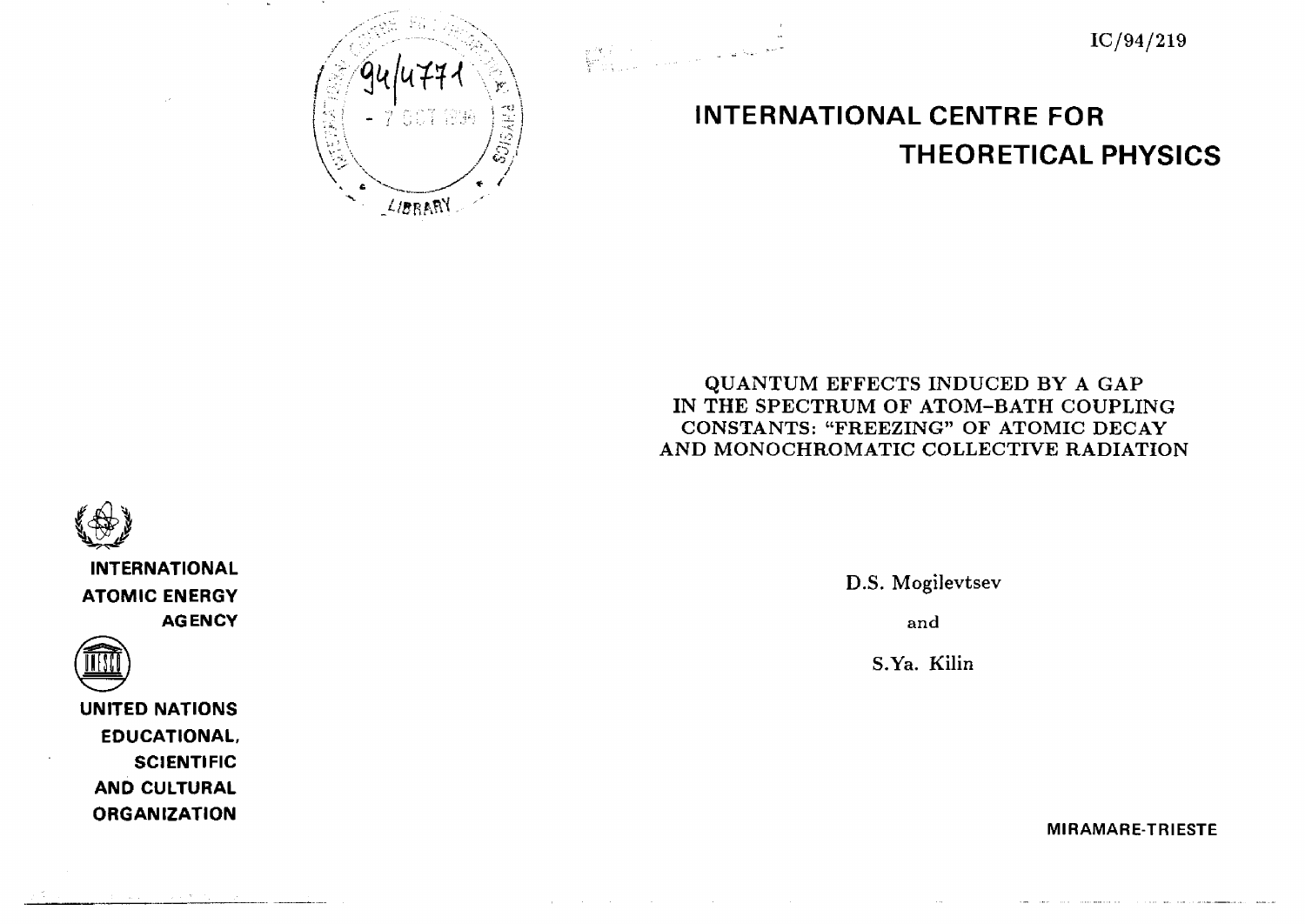IC/94/219



and the control of

**INTERNATIONAL CENTRE FOR THEORETICAL PHYSICS**

# QUANTUM EFFECTS INDUCED BY A GAP IN THE SPECTRUM OF ATOM-BATH COUPLING CONSTANTS: "FREEZING" OF ATOMIC DECAY AND MONOCHROMATIC COLLECTIVE RADIATION



**UNITED NATIONS EDUCATIONAL, SCIENTIFIC AND CULTURAL ORGANIZATION**

 $\sim 10^{-1}$ 

D.S. Mogilevtsev

and

S.Ya. Kilin

**MIRAMARE-TRIESTE**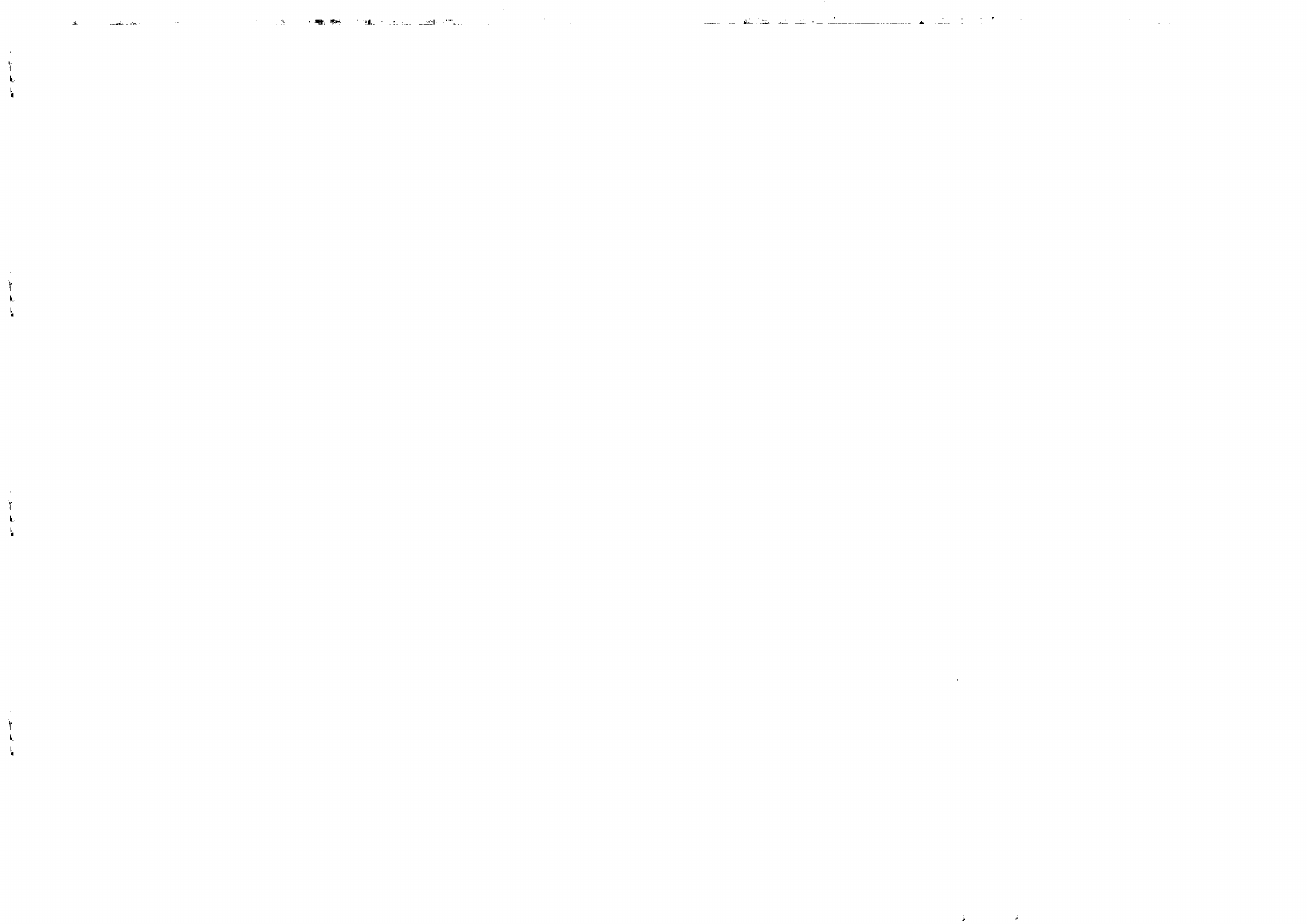$\label{eq:1} \limsup_{n\to\infty}\frac{1}{n}\sum_{i=1}^n\sum_{j=1}^n\sum_{j=1}^n\sum_{j=1}^n\sum_{j=1}^n\sum_{j=1}^n\sum_{j=1}^n\sum_{j=1}^n\sum_{j=1}^n\sum_{j=1}^n\sum_{j=1}^n\sum_{j=1}^n\sum_{j=1}^n\sum_{j=1}^n\sum_{j=1}^n\sum_{j=1}^n\sum_{j=1}^n\sum_{j=1}^n\sum_{j=1}^n\sum_{j=1}^n\sum_{j=1}^n\sum_{j=1}^$  $\Delta$  .

 $\begin{array}{c} \mathbf{1} \\ \mathbf{1} \\ \mathbf{1} \\ \mathbf{1} \end{array}$ 

 $\label{eq:2.1} \mathcal{L}(\mathcal{L}^{\text{max}}_{\mathcal{L}}(\mathcal{L}^{\text{max}}_{\mathcal{L}})) \leq \mathcal{L}(\mathcal{L}^{\text{max}}_{\mathcal{L}}(\mathcal{L}^{\text{max}}_{\mathcal{L}}))$ 

 $\mathcal{L}(\mathcal{L}^{\mathcal{L}})$  and  $\mathcal{L}(\mathcal{L}^{\mathcal{L}})$  and  $\mathcal{L}(\mathcal{L}^{\mathcal{L}})$ 

 $\label{eq:2.1} \mathbf{A}^{(1)} = \mathbf{A}^{(1)} = \mathbf{A}^{(1)} = \mathbf{A}^{(1)} = \mathbf{A}^{(1)} = \mathbf{A}^{(1)} = \mathbf{A}^{(1)} = \mathbf{A}^{(1)} = \mathbf{A}^{(1)} = \mathbf{A}^{(1)} = \mathbf{A}^{(1)} = \mathbf{A}^{(1)} = \mathbf{A}^{(1)} = \mathbf{A}^{(1)} = \mathbf{A}^{(1)} = \mathbf{A}^{(1)} = \mathbf{A}^{(1)} = \mathbf{A}^{(1)} = \mathbf{A}^{(1)} = \math$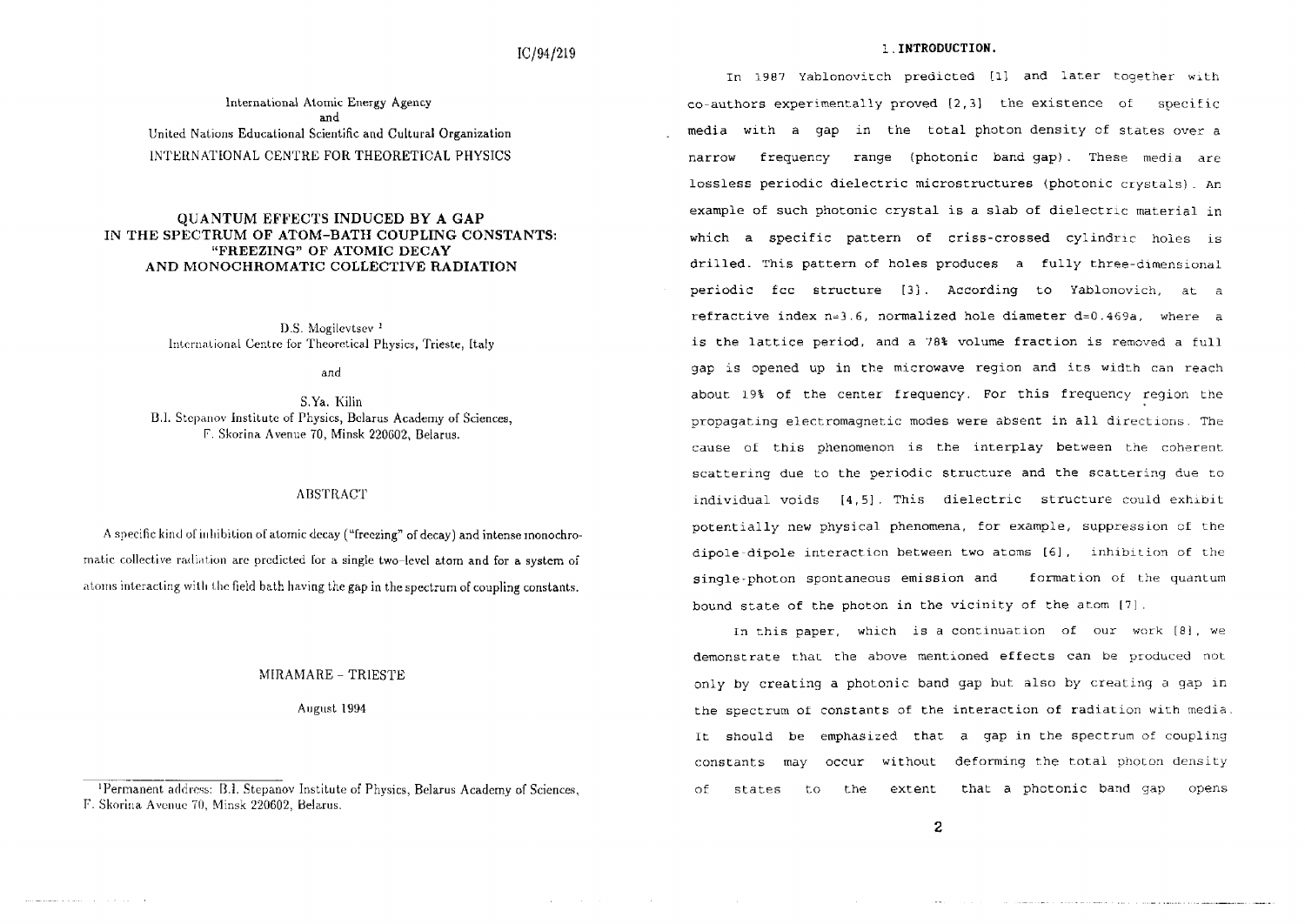# IG/94/219

International Atomic Energy Agency and United Nations Educational Scientific and Cultural Organization INTERNATIONAL CENTRE **FOR THEORETICAL PHYSICS**

# **QUANTUM EFFECTS INDUCED BY A GAP IN THE SPECTRUM OF ATOM-BATH COUPLING CONSTANTS: "FREEZING" OF ATOMIC DECAY AND MONOCHROMATIC COLLECTIVE RADIATION**

D.S. Mogilevtsev<sup>1</sup> International Centre for Theoretical Physics, Trieste, Italy

and

S.Ya. Kilin B.I. Stepanov Institute of Physics, Belarus Academy of Sciences, F. Skorina Avenue 70, Minsk 220602, Belarus.

# **ABSTRACT**

A specific kind of inhibition of atomic decay ("freezing" of decay) and intense monochromatic collective radiation are predicted for a single two-level atom and for a system of atoms interacting with the field bath having the gap in the spectrum of coupling constants.

MIRAMARE - TRIESTE

August 1994

'Permanent address: B.I. Stepanov Institute of Physics, Belarus Academy of Sciences, F. Skorina Avenue 70, Minsk 220602, Belarus.

# **1.INTRODUCTION.**

In 1987 Yablonovitch predicted [1] and later together with co-authors experimentally proved [2,3] the existence of specific media with a gap in the total photon density of states over a narrow frequency range (photonic band gap). These media are lossless periodic dielectric microstructures (photonic crystals). An example of such photonic crystal is a slab of dielectric material in which a specific pattern of criss-crossed cylindric holes is drilled. This pattern of holes produces a fully three-dimensional periodic fee structure [3] . According to Yablonovich, at a refractive index  $n=3.6$ , normalized hole diameter  $d=0.469a$ , where a is the lattice period, and a 78% volume fraction is removed a full gap is opened up in the microwave region and its width can reach about 19% of the center frequency. For this frequency region the propagating electromagnetic modes were absent in all directions. The cause of this phenomenon is the interplay between the coherent scattering due to the periodic structure and the scattering due to individual voids [4,5], This dielectric structure could exhibit potentially new physical phenomena, for example, suppression of the dipole-dipole interaction between two atoms [6], inhibition of the single-photon spontaneous emission and formation of the quantum bound state of the photon in the vicinity of the atom [7].

In this paper, which is a continuation of our work [8], we demonstrate that the above mentioned effects can be produced not only by creating a photonic band gap but also by creating a gap in the spectrum of constants of the interaction of radiation with media. It should be emphasized that a gap in the spectrum of coupling constants may occur without deforming the total photon density of states to the extent that a photonic band gap opens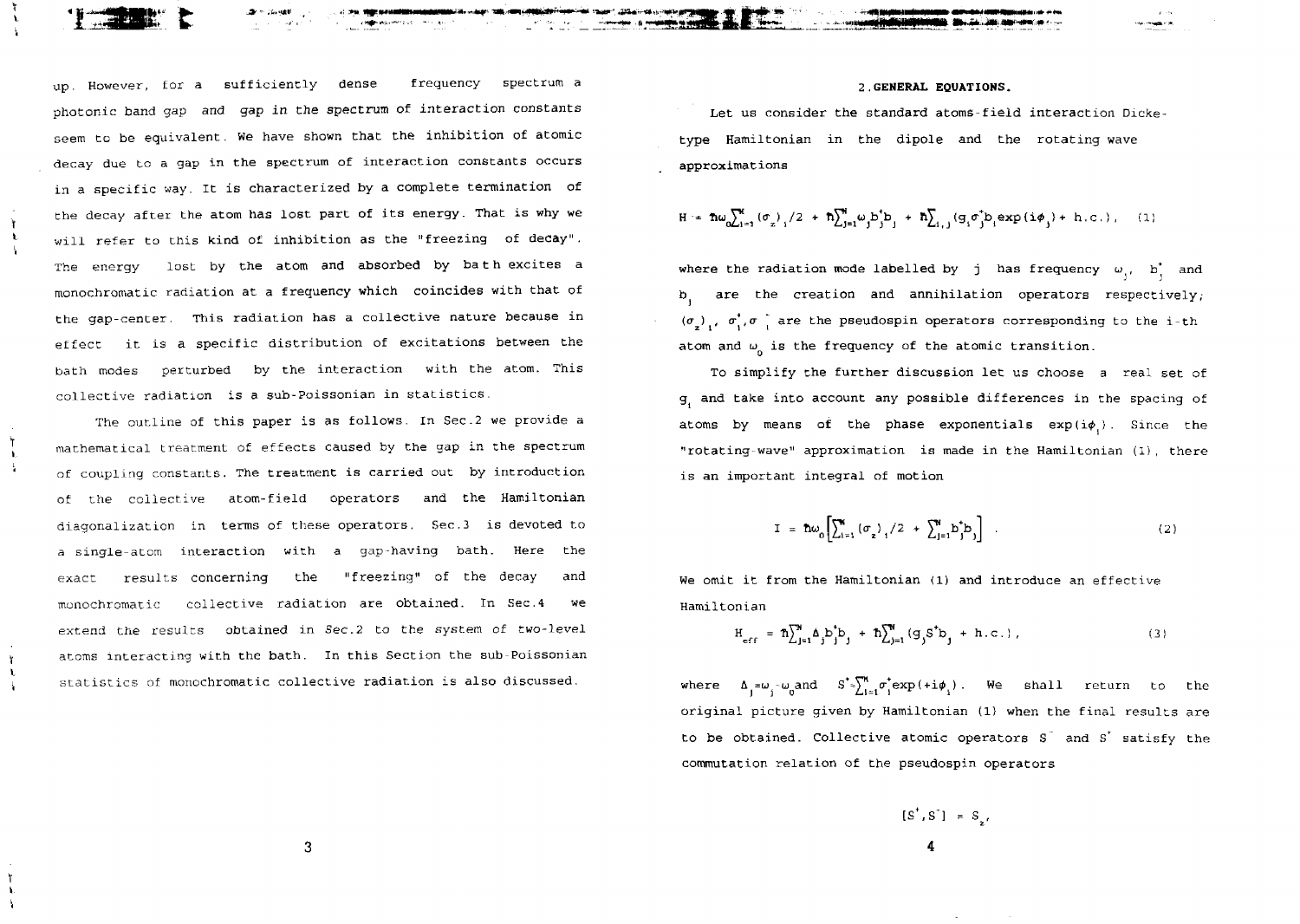**I..\*\*?'**

up. However, for a sufficiently dense frequency spectrum a photonic band gap and gap in the spectrum of interaction constants seem to be equivalent. We have shown that the inhibition of atomic decay due to a gap in the spectrum of interaction constants occurs in a specific way. It is characterized by a complete termination of the decay after the atom has lost part of its energy. That is why we will refer to this kind of inhibition as the "freezing of decay". The energy lost by the atom and absorbed by bath excites a monochromatic radiation at a frequency which coincides with that of the gap-center. This radiation has a collective nature because in effect it is a specific distribution of excitations between the bath modes perturbed by the interaction with the atom. This collective radiation is a sub-Poissonian in statistics.

The outline of this paper is as follows. In Sec.2 we provide a mathematical treatment of effects caused by the gap in the spectrum of coupling constants. The treatment is carried out by introduction of the collective atom-field operators and the Hamiltonian diagonalization in terms of these operators. Sec.3 is devoted to a single-atom interaction with a gap-having bath. Here the exact results concerning the "freezing" of the decay and monochromatic collective radiation are obtained. In Sec.4 we extend the results obtained in Sec.2 to the system of two-level atoms interacting with the bath. In this Section the sub-Poissonian statistics of monochromatic collective radiation is also discussed.

## 2.GENERAL EQUATIONS.

Let us consider the standard atoms-field interaction Dicketype Hamiltonian in the dipole and the rotating wave approximat ions

$$
H:= \text{Im}_{\text{O}} \!\! \sum_{i=1}^N \left( \sigma_{z} \right)_i / 2 \ + \ \text{Tr} \!\! \sum_{j=1}^N \! \omega_j \text{D}_j^* \text{D}_j \ + \ \text{Tr} \!\! \sum_{i,j} \left( g_{i} \sigma_{j}^* \text{D}_j \exp \left( i \phi_{j} \right) + \ \text{h.c.} \right), \quad (1)
$$

where the radiation mode labelled by j has frequency  $\omega$ , b<sup>\*</sup> and b, are the creation and annihilation operators respectively;  $(\sigma_{\tau})$ ,  $\sigma_{\tau}^{*}$ ,  $\sigma_{\tau}^{-}$  are the pseudospin operators corresponding to the i-th atom and  $\omega_{n}$  is the frequency of the atomic transition.

To simplify the further discussion let us choose a real set of g and take into account any possible differences in the spacing of atoms by means of the phase exponentials  $exp(i\phi)$ . Since the "rotating-wave" approximation is made in the Hamiltonian (1) , there is an important integral of motion

$$
I = \hbar \omega_{0} \left[ \sum_{i=1}^{M} (\sigma_{z})_{i} / 2 + \sum_{j=1}^{M} b_{j}^{+} b_{j} \right] . \tag{2}
$$

We omit it from the Hamiltonian (1) and introduce an effective Hamiltonian

$$
H_{eff} = \hbar \sum_{j=1}^{N} \Delta_{j} b_{j}^{\dagger} b_{j} + \hbar \sum_{j=1}^{N} (g_{j} S^{\dagger} b_{j} + h.c.) ,
$$
 (3)

where  $\Delta_i = \omega_i - \omega_0$  and  $S^* \ge \sum_{i=1}^{\infty} \sigma_i^{\dagger} \exp(i + i\phi_i)$ . We shall return to the **J J J 1 I 1 1 1 1 1 1 1 1** original picture given by Hamiltonian (1) when the final results are to be obtained. Collective atomic operators S and S\* satisfy the commutation relation of the pseudospin operators

> $[S^+, S^+] = S_$ 4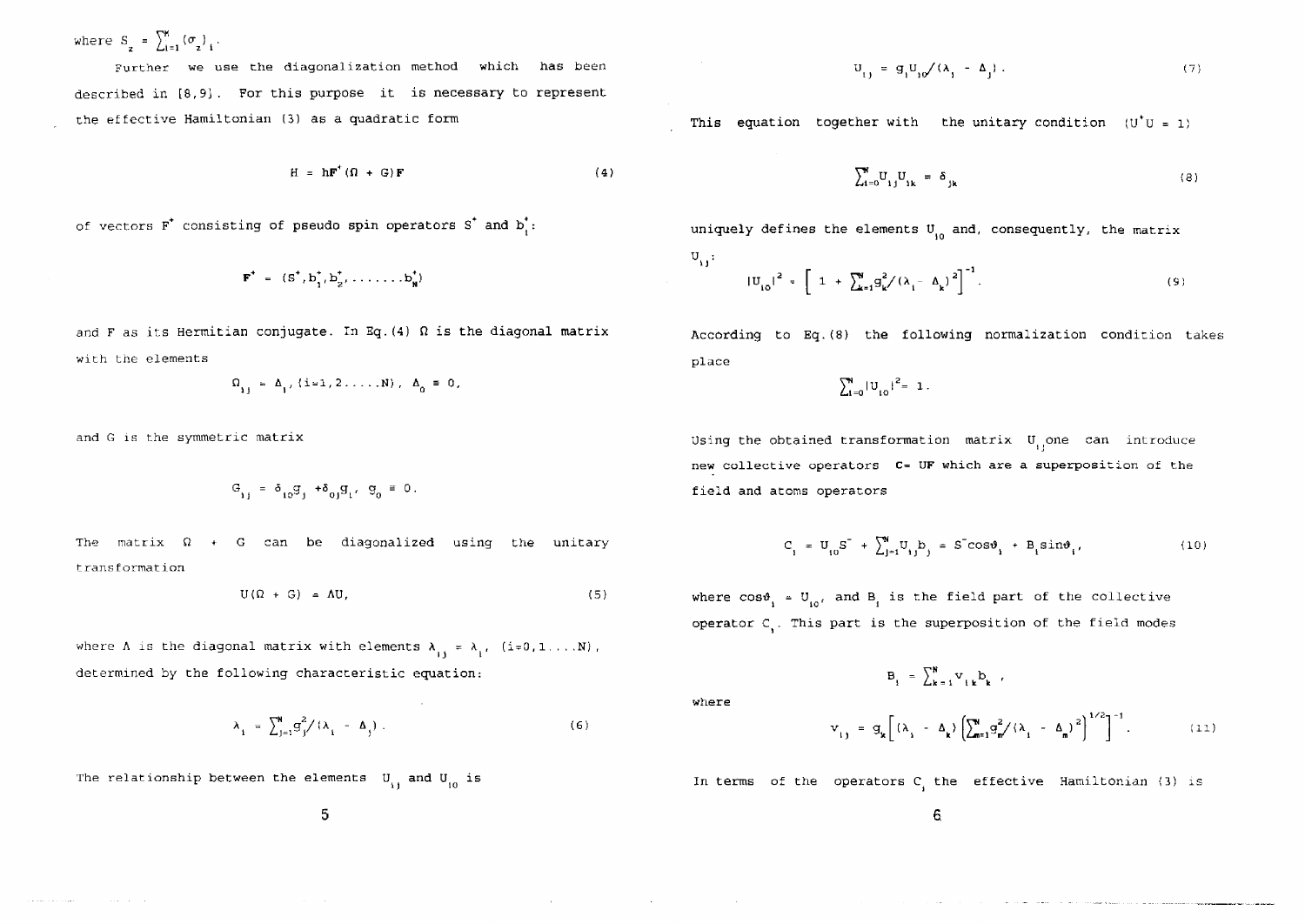where  $S = \sum_{i=1}^{n} (\sigma_i)$ .

Further we use the diagonalization method which has been described in [8,9]. For this purpose it is necessary to represent the effective Hamiltonian (3) as a quadratic form

$$
H = hF^*(\Omega + G)F \qquad (4)
$$

of vectors  $F^+$  consisting of pseudo spin operators  $S^+$  and  $b_j^*$ :

$$
\bm{F}^{\dagger}~=~(S^{\dagger},b^{\dagger}_1,b^{\dagger}_2,\,\ldots,\ldots,b^{\dagger}_N)
$$

and F as its Hermitian conjugate. In Eq. (4)  $\Omega$  is the diagonal matrix with the elements

$$
\Omega_{ij} = \Delta_{ij} \ (i=1,2,\ldots,N) \ , \ \Delta_0 = 0
$$

and G is the symmetric matrix

التواري والمتوارد المتحدة المستفيد

$$
G_{ij} = \delta_{i0} g_j + \delta_{0j} g_i, \ g_0 = 0.
$$

The matrix  $\Omega$  + G can be diagonalized using the unitary transformation

$$
U(\Omega + G) = \Lambda U, \qquad (5)
$$

where  $\Lambda$  is the diagonal matrix with elements  $\lambda_{11} = \lambda_{11}$ , (i=0,1...,N), determined by the following characteristic equation:

$$
\lambda_1 = \sum_{j=1}^{N} g_j^2 / (\lambda_1 - \Delta_j) \tag{6}
$$

$$
U_{ij} = g_i U_{i0} / (\lambda_i - \Delta_j) . \tag{7}
$$

This equation together with the unitary condition  $(U^{\dagger}U = 1)$ 

$$
\sum_{i=0}^{M} U_{i,j} U_{j,k} = \delta_{jk} \tag{8}
$$

uniquely defines the elements  $U_{10}$  and, consequently, the matrix **V**

$$
|U_{10}|^2 = \left[1 + \sum_{k=1}^{N} g_k^2 / (\lambda_1 - \Delta_k)^2\right]^{-1}.
$$
 (9)

According to Eq.(8) the following normalization condition takes place

$$
\sum_{i=0}^{N} |U_{i0}|^{2} = 1.
$$

Using the obtained transformation matrix  $U_{ij}$  one can introduce new collective operators  $C=$  UF which are a superposition of the field and atoms operators

$$
C_{i} = U_{i0}S^{-} + \sum_{j=1}^{N} U_{i,j}b_{j} = S^{-}cos\theta_{i} + B_{i}sin\theta_{i},
$$
 (10)

where  $cos\vartheta_i = U_{i0}$ , and B<sub>i</sub> is the field part of the collective operator  $C_i$ . This part is the superposition of the field modes

 $B_i = \sum_{k=1}^{N} v_{ik} b_{k}$ ,

where

and the control of the control of the control of the control of

$$
V_{ij} = g_k \left[ \left( \lambda_i - \Delta_k \right) \left( \sum_{m=1}^N g_m^2 / \left( \lambda_i - \Delta_m \right)^2 \right)^{1/2} \right]^{-1} . \tag{11}
$$

The relationship between the elements  $U_{10}$  and  $U_{10}$  is  $I_n$  is  $I_n$  terms of the operators  $C_i$  the effective Hamiltonian (3) is

$$
5 -
$$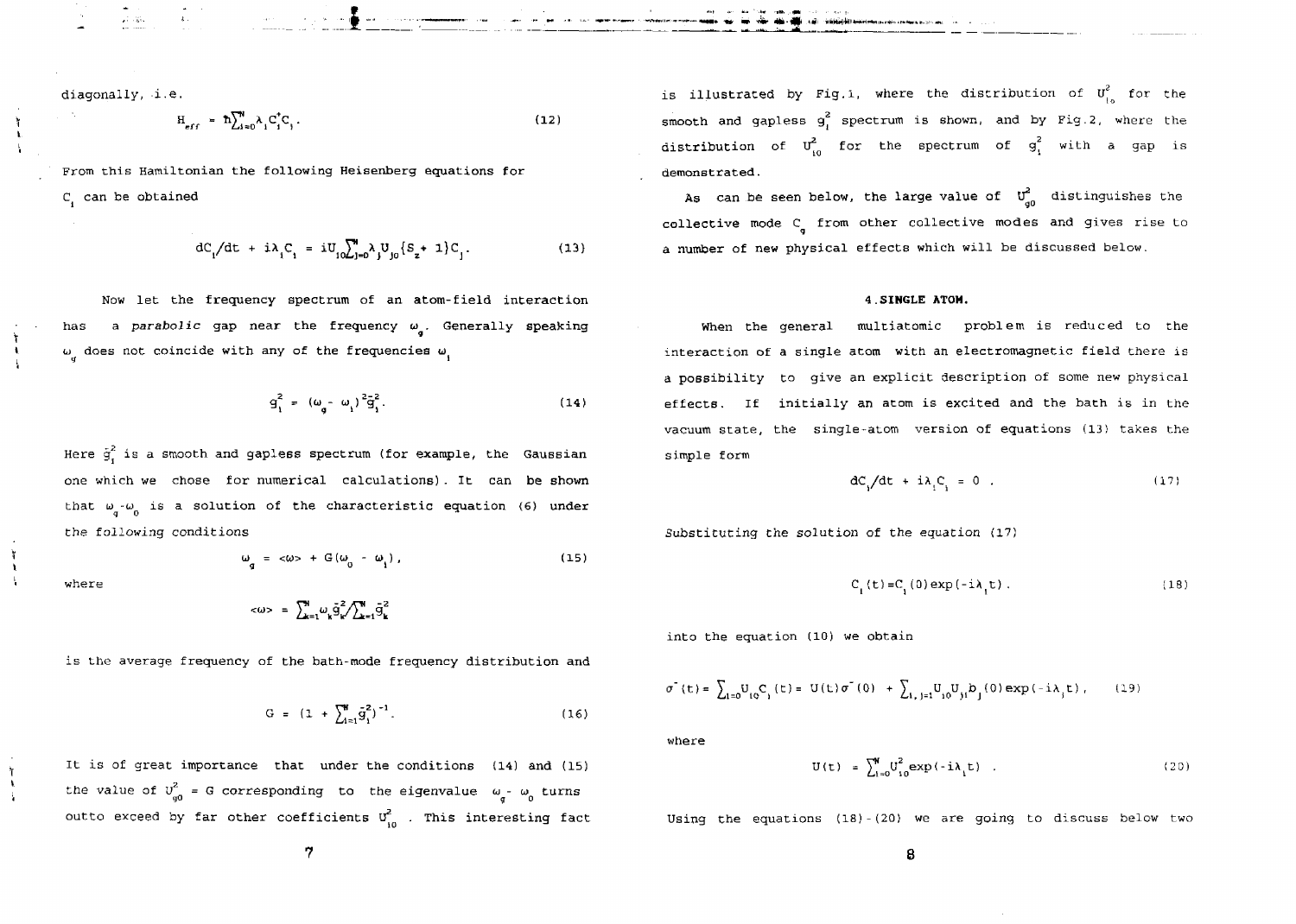**(15)**

diagonally, i.e.

$$
H_{eff} = \hbar \sum_{i=0}^{N} \lambda_i C_i^{\dagger} C_i.
$$
 (12)

From this Hamiltonian the following Heisenberg equations for C can be obtained

$$
dC_{1}/dt + i\lambda_{1}C_{1} = iU_{10}\sum_{j=0}^{M}\lambda_{j}U_{j0}\{S_{2} + 1\}C_{j}.
$$
 (13)

has Now let the frequency spectrum of an atom-field interaction a parabolic gap near the frequency  $\omega_{\rm g}$ . Generally speaking  $\omega_{\text{g}}$  does not coincide with any of the frequencies  $\omega_{\text{g}}$ 

$$
g_i^2 = (\omega_g - \omega_i)^2 \bar{g}_i^2.
$$
 (14)

Here  $\tilde{g}^2$  is a smooth and gapless spectrum (for example, the Gaussian one which we chose for numerical calculations). It can be shown that  $\omega_{g}$ - $\omega_{g}$  is a solution of the characteristic equation (6) under the following conditions

where

 $\mathcal{N}$  $\mathbf{A}$ 

$$
<\!\omega\!>~=~\sum_{k=1}^{\hspace{-0.4mm}N}\omega_k\tilde{g}_k^2\!\!\left/\!\sum_{k=1}^{\hspace{-0.4mm}N}\!\bar{g}_k^2\!\right.
$$

 $\omega_a = \langle \omega \rangle + G(\omega_0 - \omega_i),$ 

Ī.

is the average frequency of the bath-mode frequency distribution and

$$
G = (1 + \sum_{i=1}^{M} \bar{g}_i^2)^{-1}.
$$
 (16)

It is of great importance that under the conditions (14) and (15) the value of  $v_{0}^{2}$  = G corresponding to the eigenvalue  $\omega_{0}$  -  $\omega_{0}$  turns outto exceed by far other coefficients  $\sigma_{10}^2$ . This interesting fact is illustrated by Fig.1, where the distribution of  $U_{i_0}^2$  for the smooth and gapless  $g_i^2$  spectrum is shown, and by Fig. 2, where the distribution of  $U^2_{10}$  for the spectrum of  $g^2_{1}$  with a gap is demonstrated.

As can be seen below, the large value of  $\mathbb{U}_{a0}^e$  distinguishes the collective mode C<sub>9</sub> from other collective modes and gives rise to a number of new physical effects which will be discussed below.

## 4.SINGLE ATOM.

When the general multiatomic problem is reduced to the interaction of a single atom with an electromagnetic field there is a possibility to give an explicit description of some new physical effects. If initially an atom is excited and the bath is in the vacuum state, the single-atom version of equations (13) takes the simple form

$$
dC_{\gamma}/dt + i\lambda_{\gamma}C_{\gamma} = 0 \t\t(17)
$$

Substituting the solution of the equation (17)

$$
C_{i}(t) = C_{i}(0) \exp(-i\lambda_{i}t) .
$$
 (18)

into the equation (10) we obtain

$$
\sigma^-(t) = \sum_{i=0} U_{i0} C_i(t) = U(t) \sigma^-(0) \ + \ \sum_{i,j=1} U_{i0} U_{ji} b_j(0) \exp{(-i \lambda_i t)} \ , \eqno(19)
$$

where

$$
U(t) = \sum_{i=0}^{N} U_{i0}^{2} exp(-i\lambda_{i} t) . \qquad (20)
$$

Using the equations  $(18) - (20)$  we are going to discuss below two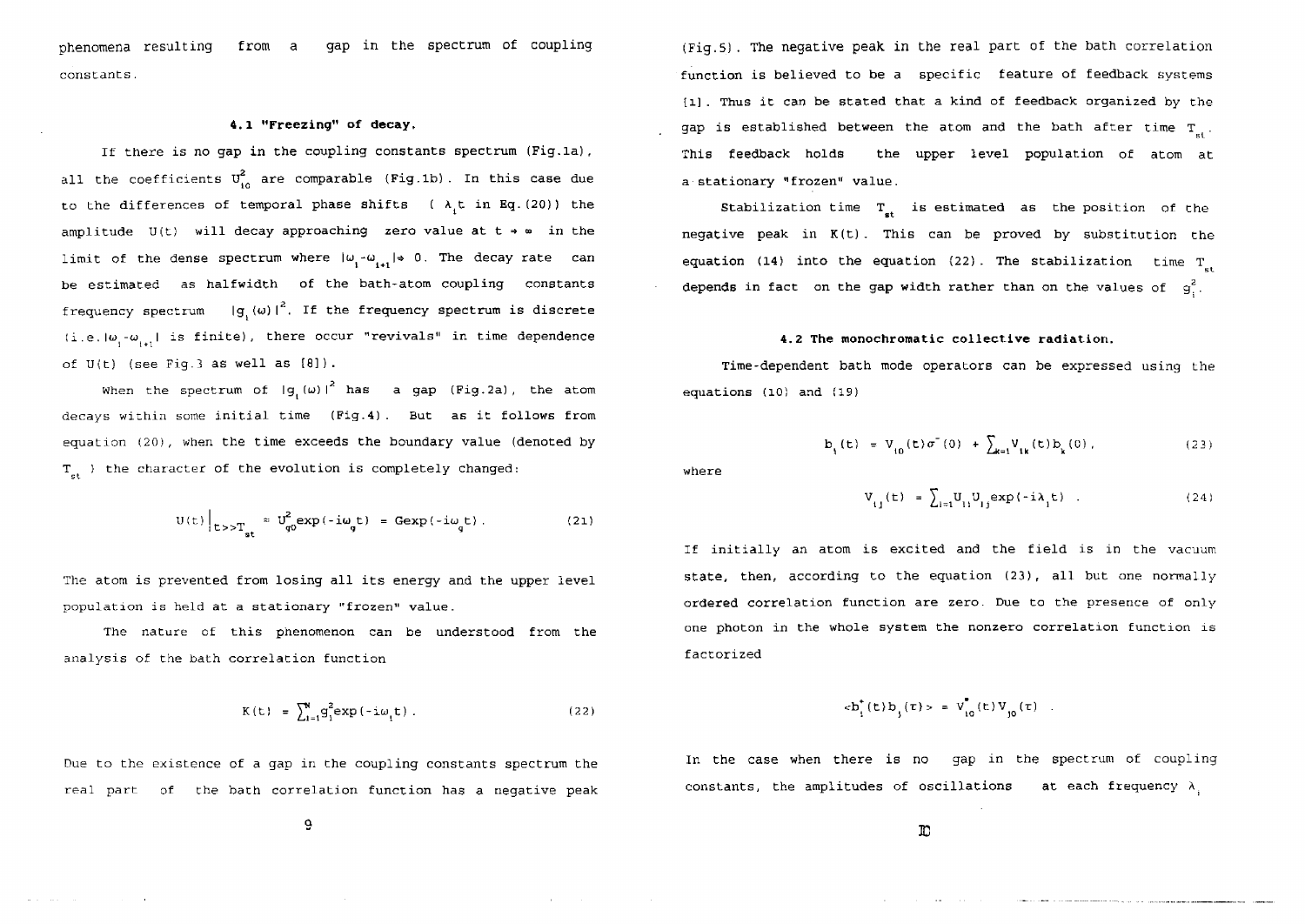phenomena resulting from a gap in the spectrum of coupling constants.

# **4.1 "Freezing" of decay.**

**If there is no gap in the coupling constants spectrum (Fig.la),** all the coefficients  $U_{i\alpha}^2$  are comparable (Fig.1b). In this case due to the differences of temporal phase shifts  $(\lambda_i t$  in Eq.(20)) the amplitude  $U(t)$  will decay approaching zero value at  $t \rightarrow \infty$  in the limit of the dense spectrum where  $|\omega_{\mu+1}|\neq 0$ . The decay rate can be estimated as **halfwidth of the bath-atom coupling constants** frequency spectrum **|g (u)**\ <sup>2</sup>, **If the frequency spectrum** is **discrete** (i.e.l $\omega_i - \omega_{i,j}$ ) is finite), there occur "revivals" in time dependence of U(t) (see Fig.3 as **well** as **[8]).**

When the spectrum of  $|g(\omega)|^2$  has a gap (Fig.2a), the atom decays within some initial time (Fig.4). But as it **follows from** equation (20), when the time exceeds **the boundary** value (denoted **by** T ) the character **of** the **evolution** is **completely changed:**

$$
U(t)\Big|_{t>>T_{st}} \approx U_{q0}^2 \exp(-i\omega_q t) = Gexp(-i\omega_q t) . \qquad (21)
$$

The atom is prevented from losing all its energy and the upper level population is held at a stationary "frozen" value.

The nature of this phenomenon can be understood from the analysis of the bath correlation function

$$
K(t) = \sum_{i=1}^{N} g_i^2 \exp\left(-i\omega_i t\right). \tag{22}
$$

Due to the existence of a gap in the coupling constants spectrum the real part of the bath correlation function has a negative peak (Fig.5). The negative peak in the real part of the bath correlation function is believed to be a specific feature of feedback systems [l]. Thus it can be stated that a kind of feedback organized by the gap is established between the atom and the bath after time  $T_{\mu}$ . This feedback holds the upper level population of atom at a stationary "frozen" value.

Stabilization time  $T_{1}$  is estimated as the position of the negative peak in  $K(t)$ . This can be proved by substitution the equation (14) into the equation (22). The stabilization time  $T_{\text{c}}$ depends in fact on the gap width rather than on the values of  $g_i^2$ .

#### **4.2 The monochromatic collective radiation.**

Time-dependent bath mode operators can be expressed using the equations (10) and (19)

$$
b_{i}(t) = V_{i0}(t)\sigma^{T}(0) + \sum_{k=1} V_{ik}(t)b_{k}(0), \qquad (23)
$$

where

the control of the control of the control

$$
V_{ij}(t) = \sum_{i=1} U_{ij} U_{ij} exp(-i\lambda_i t) . \qquad (24)
$$

<u> 1980 - La Carrier de Communication de la Communication de la Communication de la Communication de la Communica</u>

If initially an atom is excited and the field is in the vacuum state, then, according to the equation (23), all but one normally ordered correlation function are zero. Due to the presence of only one photon in the whole system the nonzero correlation function is factorized

$$
|e^{-t} \rangle_{1}^{+}(t) \, b_{1}^{-}(t) \rangle = |v_{10}^{+}(t) \, V_{10}^{-}(t) \rangle_{-}.
$$

In the case when there is no gap in the spectrum of coupling constants, the amplitudes of oscillations at each frequency  $\lambda$ .

 $\mathbf{D}$ 

ē,

 $\mu$  ,  $\mu$  , and  $\mu$  , and  $\mu$  , and  $\mu$  , and  $\mu$  , and  $\mu$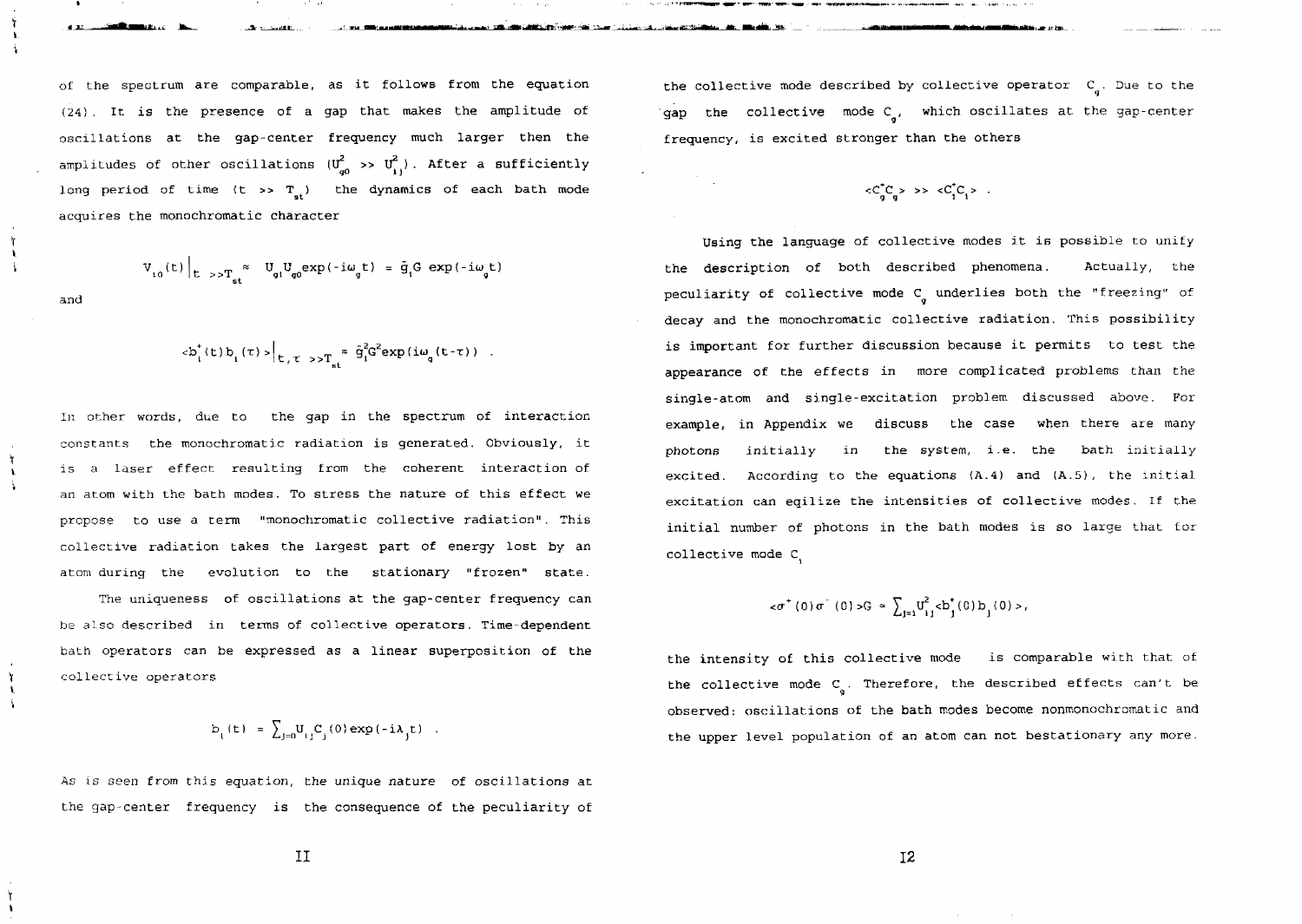of the spectrum are comparable, as it follows from the equation (24) . It is the presence of a gap that makes the amplitude of oscillations at the gap-center frequency much larger then the amplitudes of other oscillations  $(\mathtt{U}^{\epsilon}_{\mathtt{m}} >> \mathtt{U}^{\epsilon}_{\mathtt{m}})$ . After a sufficientlylong period of time (t >>  $T_{\text{at}}$ ) the dynamics of each bath mode acquires the monochromatic character

$$
V_{i0}(t)\Big|_{t\to T_{st}^{-\alpha}} U_{gl} U_{g0} exp(-i\omega_g t) = \bar{g}_i G exp(-i\omega_g t)
$$

and

 $\mathbf{t}$ 

$$
\left. < b_i^*(t) b_i^*(\tau) > \right|_{t_0, \tau_- > \tau_{st}^*} \tilde{g}_i^2 G^2 exp\left(i\omega_g(t_-\tau)\right) \ .
$$

In other words, due to the gap in the spectrum of interaction constants the monochromatic radiation is generated. Obviously, it is a laser effect resulting from the coherent interaction of an atom with the bath modes. To stress the nature of this effect we propose to use a term "monochromatic collective radiation". This collective radiation takes the largest part of energy lost by an atom during the evolution to the stationary "frozen" state.

The uniqueness of oscillations at the gap-center frequency can be also described in terms of collective operators. Time-dependent bath operators can be expressed as a linear superposition of the collective operators

$$
b_{i}(t) = \sum_{j=0}^{n} U_{i,j} C_{j}(0) \exp(-i\lambda_{j}t) .
$$

As is seen from this equation, the unique nature of oscillations at the gap-center frequency is the consequence of the peculiarity of

the collective mode described by collective operator  $C_{\alpha}$ . Due to the gap the collective mode  $C_{a}$ , which oscillates at the gap-center frequency, is excited stronger than the others

$$
<\!C_j^{\dagger}C_j\!> \;\; >> \;\; <\!C_j^{\dagger}C_j\!> \;\; .
$$

Using the language of collective modes it is possible to unify the description of both described phenomena. Actually, the peculiarity of collective mode  $C_{q}$  underlies both the "freezing" of decay and the monochromatic collective radiation. This possibility is important for further discussion because it permits to test the appearance of the effects in more complicated problems than the single-atom and single-excitation problem discussed above. For example, in Appendix we discuss the case when there are many photons initially in the system, i.e. the bath initially excited. According to the equations (A.4) and (A.5), the initial excitation can eqilize the intensities of collective modes. If the initial number of photons in the bath modes is so large that for collective mode C

$$
<\!\sigma^{+}\left(\,0\,\right)\sigma^{+}\left(\,0\,\right)> \hspace*{-1em}\subseteq \hspace*{-1em} \rightarrow \sum\nolimits_{j=1}^{l} \hspace*{-1em} U^{2}_{i,j} <\hspace*{-1em}\infty^{+}_{j}\left(\,0\,\right) b_{j}\left(\,0\,\right) > \hspace*{-1em},
$$

the intensity of this collective mode is comparable with that of the collective mode  $C_{\alpha}$ . Therefore, the described effects can't be observed: oscillations of the bath modes become nonmonochromatic and the upper level population of an atom can not bestationary any more.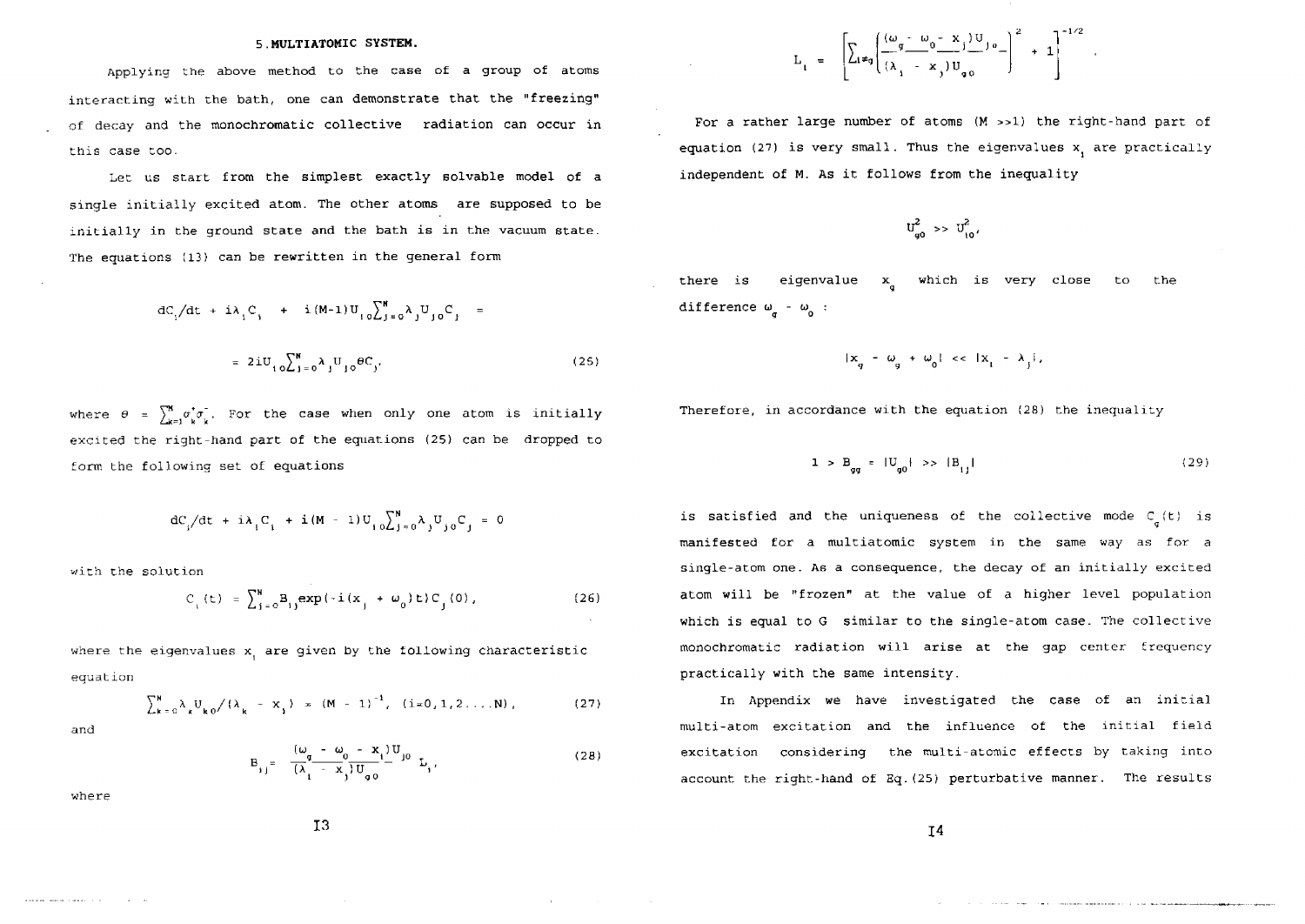#### **5.MULTIAT0MIC SYSTEM.**

Applying the above method to the case of a group of atoms interacting with the bath, one can demonstrate that the "freezing" of decay and the monochromatic collective radiation can occur in this case too.

Let us start from the simplest exactly solvable model of a single initially excited atom. The other atoms are supposed to be initially in the ground state and the bath is in the vacuum state. The equations (13) can be rewritten in the general form

$$
dC_{1}/dt + i\lambda_{1}C_{1} + i(M-1)U_{10}\sum_{j=0}^{M} \lambda_{j}U_{j0}C_{j} =
$$
  
=  $2iU_{10}\sum_{j=0}^{N} \lambda_{j}U_{j0}\Theta C_{j}$ , (25)

where  $\theta = \sum_{k=1}^{N} \sigma_k^{\dagger} \sigma_k^{\dagger}$ . For the case when only one atom is initially excited the right-hand part of the equations (25) can be dropped to form the following set of equations

$$
dC_{i}/dt + i\lambda_{1}C_{i} + i(M - 1)U_{i0}\sum_{j=0}^{N} \lambda_{j}U_{j0}C_{j} = 0
$$

with the solution

$$
C_{i}(t) = \sum_{j=0}^{N} B_{ij} exp(-i(x_{j} + \omega_{0})t) C_{j}(0),
$$
 (26)

where the eigenvalues  $x_i$  are given by the following characteristic equation

$$
\sum_{k=0}^{N} \lambda_{k} U_{k0} / (\lambda_{k} - x_{1}) = (M - 1)^{-1}, (i = 0, 1, 2, ..., N),
$$
 (27)

and

$$
B_{ij} = \frac{(\omega_q - \omega_0 - x_i)U_{j0}}{(\lambda_1 - x_j)U_{q0}} L_{ij},
$$
\n(28)

where

$$
L_{\mathbf{I}} = \left[ \sum_{i \neq 0} \left( \frac{(\omega_{\mathbf{q}} - \omega_{0} - x_{i}) U}{(\lambda_{1} - x_{i}) U_{\mathbf{q},0}} \right)^{2} + 1 \right]^{-1/2}
$$

For a rather large number of atoms (M >>1) the right-hand part of equation (27) is very small. Thus the eigenvalues  $x_i$  are practically independent of M. As it follows from the inequality

$$
U_{q0}^2\ \gg\ U_{10}^2\, ,
$$

there is eigenvalue x which is very close to the difference  $\omega_{\alpha}$  -  $\omega_{\alpha}$  :

g 0

$$
|x_{q} - \omega_{q} + \omega_{0}| \ll |x_{1} - \lambda_{j}|,
$$

Therefore, in accordance with the equation (28) the inequality

$$
1 > B_{gg} = |U_{g0}| >> |B_{ij}|
$$
 (29)

is satisfied and the uniqueness of the collective mode  $C_q(t)$  is manifested for a multiatomic system in the same way as for a single-atom one. As a consequence, the decay of an initially excited atom will be "frozen" at the value of a higher level population which is equal to G similar to the single-atom case. The collective monochromatic radiation will arise at the gap center frequency practically with the same intensity.

In Appendix we have investigated the case of an initial multi-atom excitation and the influence of the initial field excitation considering the multi-atomic effects by taking into account the right-hand of Eq. (25) perturbative manner. The results

<u> 2000 - Andreas Andreas III, ann an Company ann an Cairline ann an Cairline ann an Cairline ann an Cairline an</u>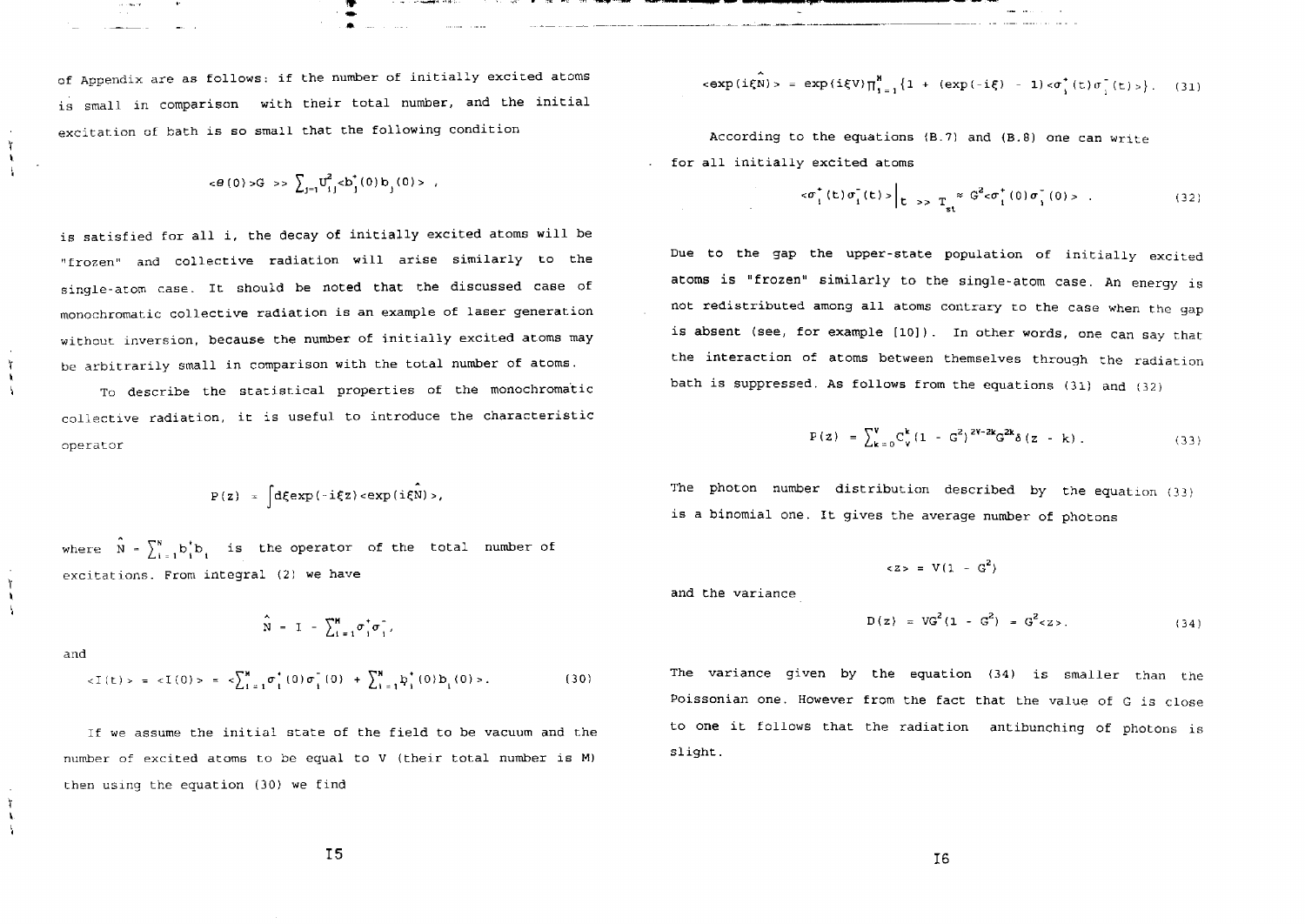of Appendix are as follows: if the number of initially excited atoms is small in comparison with their total number, and the initial excitation of bath is so small that the following condition

 $\langle e(0) > G \rangle > \sum_{i=1}^{n} U_i^2 \langle b_i \rangle$ 

is satisfied for all i, the decay of initially excited atoms will be "frozen" and collective radiation will arise similarly to the single-atom case. It should be noted that the discussed case of monochromatic collective radiation is an example of laser generation without inversion, because the number of initially excited atoms may be arbitrarily small in comparison with the total number of atoms.

To describe the statistical properties of the monochromatic collective radiation, it is useful to introduce the characteristic operator

$$
P(z) = \int d\xi exp(-i\xi z) \exp(i\xi \hat{N}) \, ,
$$

where  $\hat{N} = \sum_{i=1}^{N} b_i^{\dagger} b_i$  is the operator of the total number of excitations. From integral (2) we have

 $\hat{\mathbf{N}} = \mathbf{I} - \sum_{i=1}^{M} \sigma_i^{\dagger} \sigma_i^{\dagger}$ 

and

 $\mathbf{Y}$  $\mathbf{A}$  $\mathbf{I}_\mathrm{L}$ 

 $\mathbf{h}$  $\mathbf{r}$ 

۱ì  $\mathbf{t}$ A.

Ñ.  $\mathbf{t}$ 

$$
\mathcal{I}(t) > \ = \ \ = \ <\sum_{i=1}^{N} \sigma_i^*(0) \sigma_i^-(0) \ + \ \sum_{i=1}^{N} b_i^*(0) b_i(0) >. \tag{30}
$$

if we assume the initial state of the field to be vacuum and the number of excited atoms to be equal to V (their total number is M) then using the equation (30) we find

$$
\langle \exp(i\xi\hat{N}) \rangle = \exp\{i\xi V\} \prod_{i=1}^{N} \{1 + (\exp(-i\xi) - 1) \langle \sigma_i^*(t) \sigma_i^*(t) \rangle\}.
$$
 (31)

According to the equations  $(B.7)$  and  $(B.8)$  one can write for all initially excited atoms

$$
\left| \langle \sigma_1^*(t) \sigma_1^*(t) \rangle \right|_{t \to \infty} \Big|_{\tau_{\text{st}}} \approx G^2 \langle \sigma_1^*(0) \sigma_1^*(0) \rangle \quad . \tag{32}
$$

Due to the gap the upper-state population of initially excited atoms is "frozen" similarly to the single-atom case. An energy is not redistributed among all atoms contrary to the case when the gap is absent (see, for example [10]). In other words, one can say that the interaction of atoms between themselves through the radiation bath is suppressed. As follows from the equations (31) and (32)

$$
P(z) = \sum_{k=0}^{v} C_{v}^{k} (1 - G^{2})^{2v - 2k} G^{2k} \delta(z - k) .
$$
 (33)

The photon number distribution described by the equation (33) is a binomial one. It gives the average number of photons

$$
z \geq z = V(1 - G^2)
$$

and the variance

$$
D(z) = VG2(1 - G2) = G22z2.
$$
 (34)

The variance given by the equation (34) is smaller than the Poissonian one. However from the fact that the value of G is close to one it follows that the radiation antibunching of photons is slight.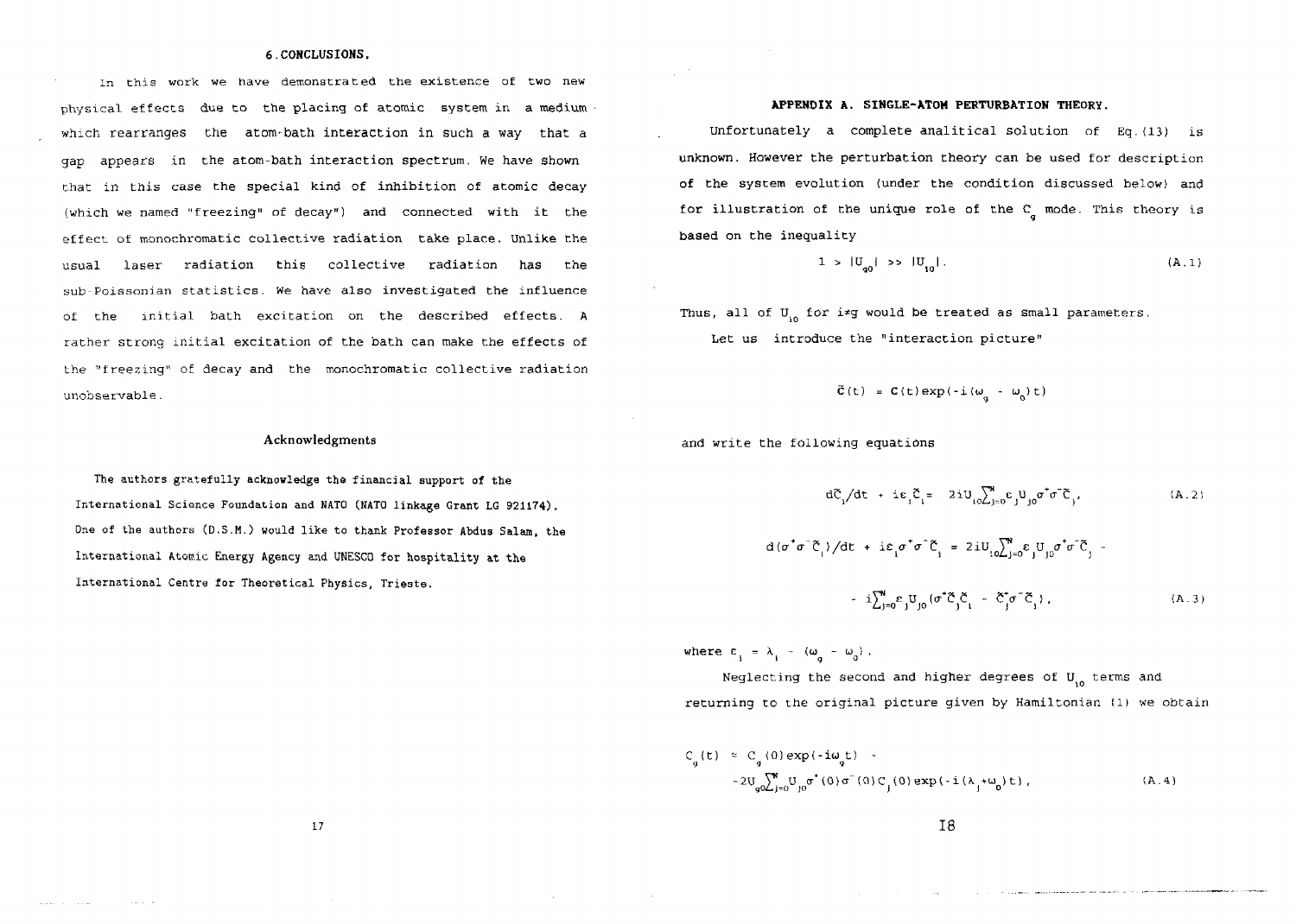# **6.CONCLUSIONS.**

In this work we have demonstrated the existence of two new physical effects due to the placing of atomic system in a medium which rearranges the atom-bath interaction in such a way that a gap appears in the atom-bath interaction spectrum. We have shown that in this case the special kind of inhibition of atomic decay (which we named "freezing" of decay") and connected with it the effect of monochromatic collective radiation take place. Unlike the usual laser radiation this collective radiation has the sub-Poissonian statistics. We have also investigated the influence of the initial bath excitation on the described effects. A rather strong initial excitation of the bath can make the effects of the "freezing" of decay and the monochromatic collective radiation unobservable.

# Acknowledgments

The authors gratefully acknowledge the financial support of the International Science Foundation and NATO (NATO linkage Grant LG 921174). One of the authors (D.S.M.) would like to thank Professor Abdus Salam, the International Atomic Energy Agency and UNESCO for hospitality at the International Centre for Theoretical Physics, Trieste.

#### **APPENDIX A. SINGLE-ATOM PERTURBATION THEORY.**

Unfortunately a complete analitical solution of Eq.(13) is unknown. However the perturbation theory can be used for description of the system evolution (under the condition discussed below) and for illustration of the unique role of the  $C_{n}$  mode. This theory is based on the inequality

$$
1 > |U_{q0}| >> |U_{10}|. \t\t (A.1)
$$

Thus, all of  $U_{i_0}$  for i\*g would be treated as small parameters. Let us introduce the "interaction picture"

 $\tilde{c}(t) = c(t) \exp(-i (\omega_{q} - \omega_{0}) t)$ 

and write the following equations

$$
d\widetilde{C}_j/dt + i\epsilon_j \widetilde{C}_j = 2iU_{i0}\sum_{j=0}^N \epsilon_j U_{j0}\sigma^{\dagger}\sigma^{\dagger}\widetilde{C}_j, \qquad (A,2)
$$

$$
d(\sigma^{\dagger}\sigma^{\top}\tilde{C}_{i})/dt + i\epsilon_{i}\sigma^{\dagger}\sigma^{\top}\tilde{C}_{i} = 2iU_{i0}\sum_{j=0}^{N} \epsilon_{j}U_{j0}\sigma^{\dagger}\sigma^{\top}\tilde{C}_{j} -
$$

$$
-i\sum_{j=0}^{N} \epsilon_{j}U_{j0}(\sigma^{\dagger}\tilde{C}_{j}\tilde{C}_{i} - \tilde{C}_{j}\sigma^{\top}\tilde{C}_{i}), \qquad (A.3)
$$

where  $\varepsilon_{i} = \lambda_{i} - (\omega_{g} - \omega_{0})$ .

Neglecting the second and higher degrees of  $U_{10}$  terms and returning to the original picture given by Hamiltonian (1) we obtain

$$
C_g(t) \approx C_g(0) \exp(-i\omega_g t) -
$$
  
-2U<sub>g0</sub>  $\sum_{j=0}^{N} U_{j0} \sigma^*(0) \sigma^*(0) C_j(0) \exp(-i(\lambda_j + \omega_0) t),$  (A.4)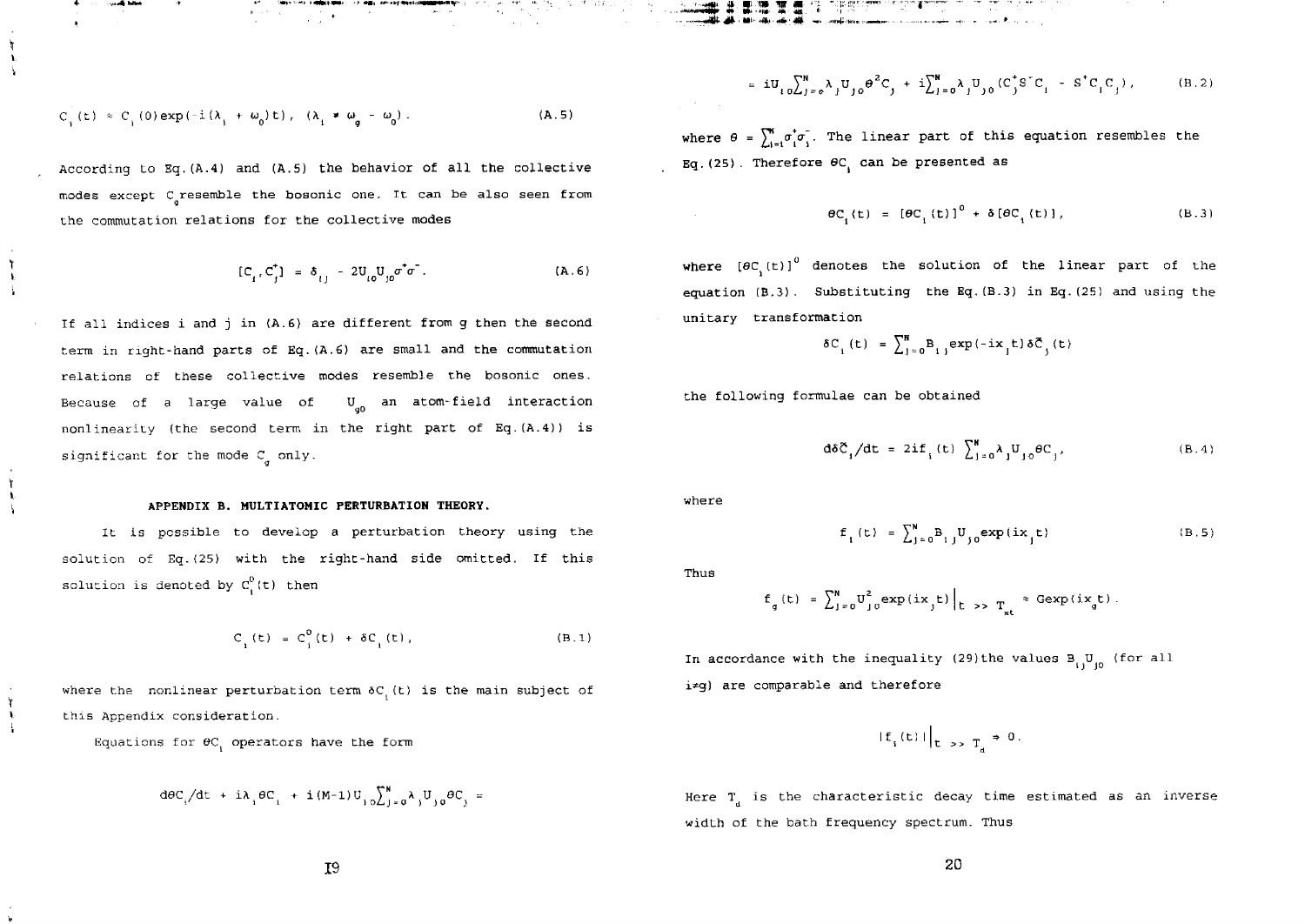a di sebagai kecamatan di sebagai kecamatan di sebagai kecamatan di sebagai kecamatan di sebagai kecamatan di<br>Sebagai kecamatan di sebagai kecamatan di sebagai kecamatan di sebagai kecamatan di sebagai kecamatan di sebag . m- .\*. • «\*. • M \_.

 $\mathcal{L}_{\mathcal{L}}$  , where  $\mathcal{L}_{\mathcal{L}}$ 

 $\sim$ 

$$
C_{i}^{'}(t) \approx C_{i}^{'}(0) \exp\left(-i\left(\lambda_{i} + \omega_{0}\right)t\right), \quad \left(\lambda_{i} \neq \omega_{g} - \omega_{0}\right). \tag{A.5}
$$

According to Eq.(A.4) and (A.5) the behavior of all the collective modes except C<sub>a</sub>resemble the bosonic one. It can be also seen from the commutation relations for the collective modes

 $\Lambda$ 

$$
[C_{i}, C_{j}^{\dagger}] = \delta_{ij} - 2U_{i\delta}U_{j\delta} \sigma^{\dagger} \sigma^{\dagger}.
$$
 (A.6)

If all indices i and j in {A.6} are different from g then the second term in right-hand parts of Eq. (A.6) are small and the commutation relations of these collective modes resemble the bosonic ones. Because of a large value of  $U_{q0}$  an atom-field interaction nonlinearity (the second term in the right part of Eq.(A.4)) is significant for the mode  $C_{\alpha}$  only.

#### **APPENDIX B. MULTIATOMIC PERTURBATION THEORY.**

It is possible to develop a perturbation theory using the solution of Eq.(25) with the right-hand side omitted. If this solution is denoted by  $C_i^0(t)$  then

$$
C_{\mu}(t) = C_{\mu}^{0}(t) + \delta C_{\mu}(t), \qquad (B, 1)
$$

where the nonlinear perturbation term  $\delta C_{\gamma}(t)$  is the main subject of this Appendix consideration.

Equations for  $\theta C_i$  operators have the form

$$
d\theta C_{i}/dt + i\lambda_{i}\theta C_{i} + i(M-1)U_{i0}\sum_{j=0}^{N}\lambda_{j}U_{j0}\theta C_{j} =
$$

= 
$$
iU_{i}{}_{0}\sum_{j=0}^{N} \lambda_{j}U_{j0}\theta^{2}C_{j} + i\sum_{j=0}^{N} \lambda_{j}U_{j0}(C_{j}^{+}S^{+}C_{j} - S^{+}C_{j}C_{j}),
$$
 (B.2)

where  $\theta = \sum_{i=1}^{\mathbf{M}} \sigma_i^{\dagger} \sigma_i^{\dagger}$ . The linear part of this equation resembles the Eq.(25). Therefore  $\theta C^{\dagger}_{i}$  can be presented as

$$
\theta C_{i}(t) = [\theta C_{i}(t)]^{0} + \delta[\theta C_{i}(t)], \qquad (B.3)
$$

where  ${(\theta C_{\chi}(t))}^0$  denotes the solution of the linear part of the equation (B.3). Substituting the Eq,(B.3) in Eq.(25) and using the unitary transformation

$$
\delta C_{i}(t) = \sum_{j=0}^{N} B_{i,j} \exp(-ix_{j}t) \delta \tilde{C}_{j}(t)
$$

the following formulae can be obtained

$$
d\delta \tilde{C}_1/dt = 2i f_i(t) \sum_{j=0}^{N} \lambda_j U_{j0} \theta C_j,
$$
 (B.4)

where

 $f(t) = \sum_{i=0}^{N} B_{i,j} U_{i,0} exp(i x_i t)$ (B.5)

Thus

$$
f_g(t) = \sum_{j=0}^{N} U_{j0}^2 \exp(ix_j t) \Big|_{t \to \infty} T_{st} \approx \text{Gexp}(ix_g t).
$$

In accordance with the inequality (29)the values B<sub>ij</sub>U<sub>jo</sub> (for all i\*g) are comparable and therefore

$$
|f_i(t)|\Big|_{t\to t} \to 0.
$$

Here T<sub>a</sub> is the characteristic decay time estimated as an inverse width of the bath frequency spectrum. Thus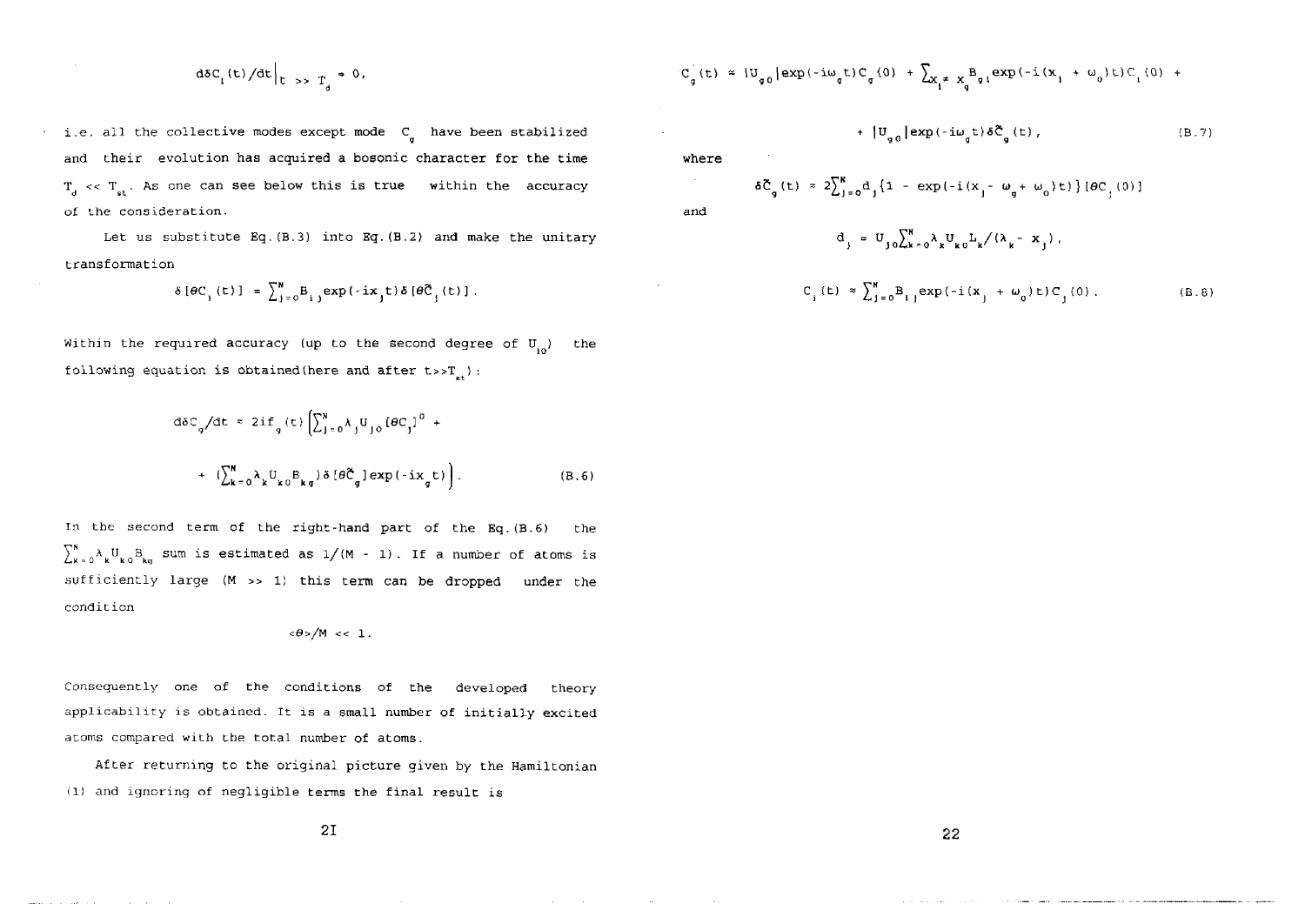$$
\left. \mathrm{d}\delta C_{i}\left( t\right) / \mathrm{d}t\right|_{t\rightarrow\infty} \Big|_{T_{d}} \rightarrow 0,
$$

i.e. all the collective modes except mode  $C_q$  have been stabilized and their evolution has acquired a bosonic character for the time  $T_A \ll T_{at}$ . As one can see below this is true within the accuracy of the consideration.

Let us substitute Eq.  $(B.3)$  into Eq.  $(B.2)$  and make the unitary transformation

$$
\delta[\Theta C_i(t)] = \sum_{j=0}^{N} B_{ij} \exp(-ix_j t) \delta[\Theta C_j(t)].
$$

Within the required accuracy (up to the second degree of  $\mathtt{U}_{_{1\text{O}}})$  ) the following equation is obtained (here and after t>>T<sub>et</sub>):

$$
d\delta C_g/dt \approx 2i f_g(t) \left[ \sum_{j=0}^{N} \lambda_j U_{j0} [\theta C_j]^0 + \right.
$$
  
+ 
$$
\left[ \sum_{k=0}^{N} \lambda_k U_{k0} B_{kg} \right] \delta [\theta \tilde{C}_g] exp(-ix_g t) . \qquad (B.6)
$$

in the second term of the right-hand part of the Eq.(B.6) the  $\int_{-\infty}^{\infty} \lambda_k U_{k,0} B_{k,0}$  sum is estimated as  $1/(M - 1)$ . If a number of atoms is sufficiently large (M >> 1) this term can be dropped under the condition

$$
\langle \theta \rangle / M \ll 1.
$$

Consequently one of the conditions of the developed theory applicability is obtained. It is a small number of initially excited atoms compared with the total number of atoms.

After returning to the original picture given by the Hamiltonian (1) and ignoring of negligible terms the final result is

$$
C_g(t) \approx |U_{g0}| \exp(-i\omega_g t) C_g(0) + \sum_{x_i^*} x_g B_{g1} \exp(-i(x_i + \omega_0)t) C_i(0)
$$

$$
+\left\{\mathtt{U}_{\mathtt{g}\,0}\left|\,\mathtt{exp}\left(-\mathtt{i}\omega_{\mathtt{g}}\mathtt{t}\right)\delta\widetilde{C}_{\mathtt{g}}\left(\mathtt{t}\right)\right.,\right.\\ \left.\left.\left(\mathtt{B}\,\mathtt{.}\,7\right)\right.
$$

where

and

the control of the control of the control of the control of

$$
\delta \tilde{C}_g(t) \approx 2 \sum_{j=0}^{R} d_j \{ 1 - \exp(-i(x_j - \omega_g + \omega_o)t) \} [\Theta C_j(0)]
$$
  

$$
d_j = U_{j0} \sum_{k=0}^{R} \lambda_k U_{k0} L_k / (\lambda_k - x_j),
$$

$$
C_{j}(t) \approx \sum_{j=0}^{N} B_{1,j} \exp \left\{ -i \left( x_{j} + \omega_{0} \right) t \right\} C_{j}(0) , \qquad (B.8)
$$

21

الموارد والمنادي والمنافس والمتعادل والمنافس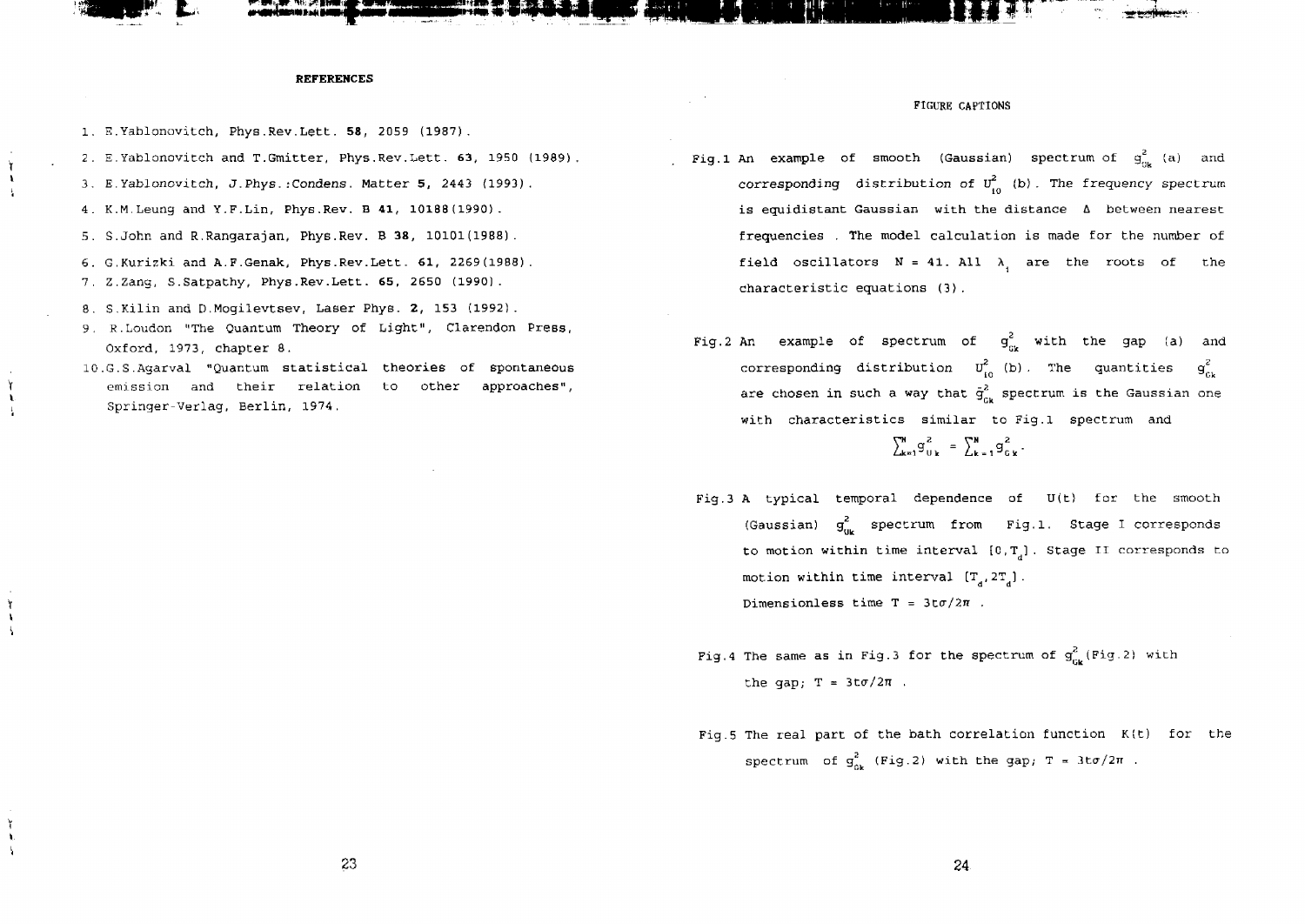

1. E.Yablonovitch, Phys.Rev.Lett. 58, 2059 (1987).

- 2. E.Yablonovitch and T.Gmitter, Phys.Rev.Lett. 63, 1950 {1989).
- 3. E.Yablonovitch, J.Phys.:Condens. Hatter 5, 2443 (1993).
- 4. K.M. Leung and Y.F. Lin. Phys. Rev. B 41, 10188 (1990).
- 5. S.John and R.Rangarajan, Phys.Rev. B 38, 10101(1988).
- 6. G.Kurizki and A.F.Genak, Phys.Rev.Lett. 61, 2269(1988).
- 7. Z.Zang, S.Satpathy, Phys.Rev.Lett. 65, 2650 (1990).
- 8. S.Kilin and D.Mogilevtsev, Laser Phys. 2, 153 (1992).
- 9. R.Loudon "The Quantum Theory of Light", Clarendon Press, Oxford, 1973, chapter 8.
- 10.G.S.Agarval "Quantum statistical theories of spontaneous emission and their relation to other approaches", Springer-Verlag, Berlin, 1974.

#### FIGURE CAPTIONS

- Fig.1 An example of smooth (Gaussian) spectrum of  $g_{\omega}^2$  (a) and corresponding distribution of  $U^2_{(0)}$  (b). The frequency spectrum is equidistant Gaussian with the distance  $\Delta$  between nearest frequencies . The model calculation is made for the number of field oscillators  $N = 41$ . All  $\lambda$ , are the roots of the characteristic equations (3).
- Fig.2 An example of spectrum of  $g_{_{\mathbf{G}\mathbf{k}}}^{\ast}$  with the gap (a) and corresponding distribution  $U^2_{12}$  (b). The quantities are chosen in such a way that  $\tilde{g}_{\alpha k}^2$  spectrum is the Gaussian one Ck. with characteristics similar to Fig.l spectrum and

$$
\sum_{k=1}^{N} g_{U,k}^{2} = \sum_{k=1}^{N} g_{C,k}^{2}
$$

- Fig.3 A typical temporal dependence of U(t) for the smooth (Gaussian)  $g^2$  spectrum from Fig.1. Stage I corresponds to motion within time interval  $[0,T]$  . Stage II corresponds to d motion within time interval  $(T_A, 2T_A)$ . d d Dimensionless time  $T = 3t\sigma/2\pi$ .
- Fig.4 The same as in Fig.3 for the spectrum of  $g_{ck}^2$ (Fig.2) with the gap:  $T = 3t\sigma/2\pi$ .
- Fig.5 The real part of the bath correlation function  $K(t)$  for the spectrum of  $g_{0k}^2$  (Fig. 2) with the gap; T =  $3t\sigma/2\pi$ .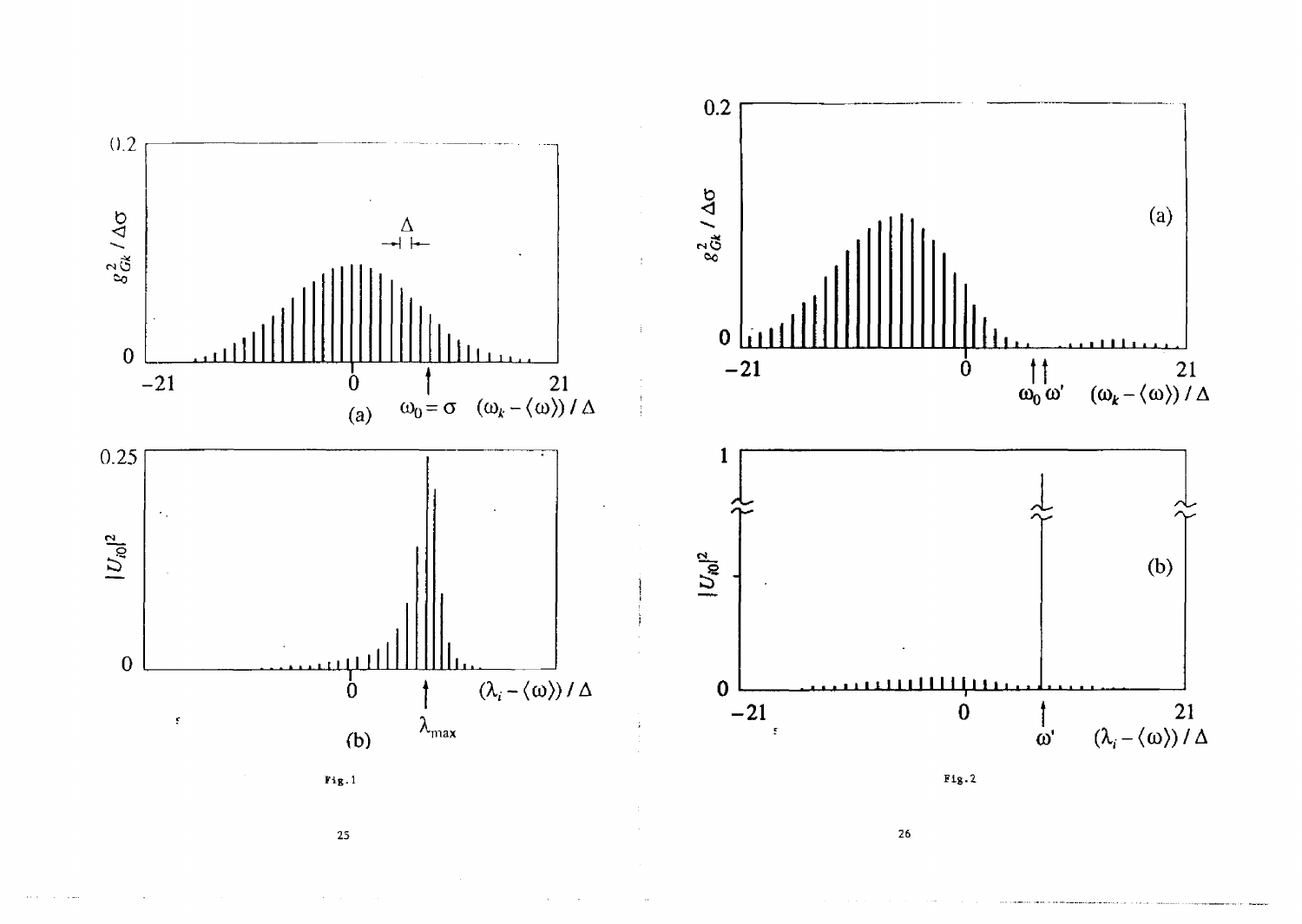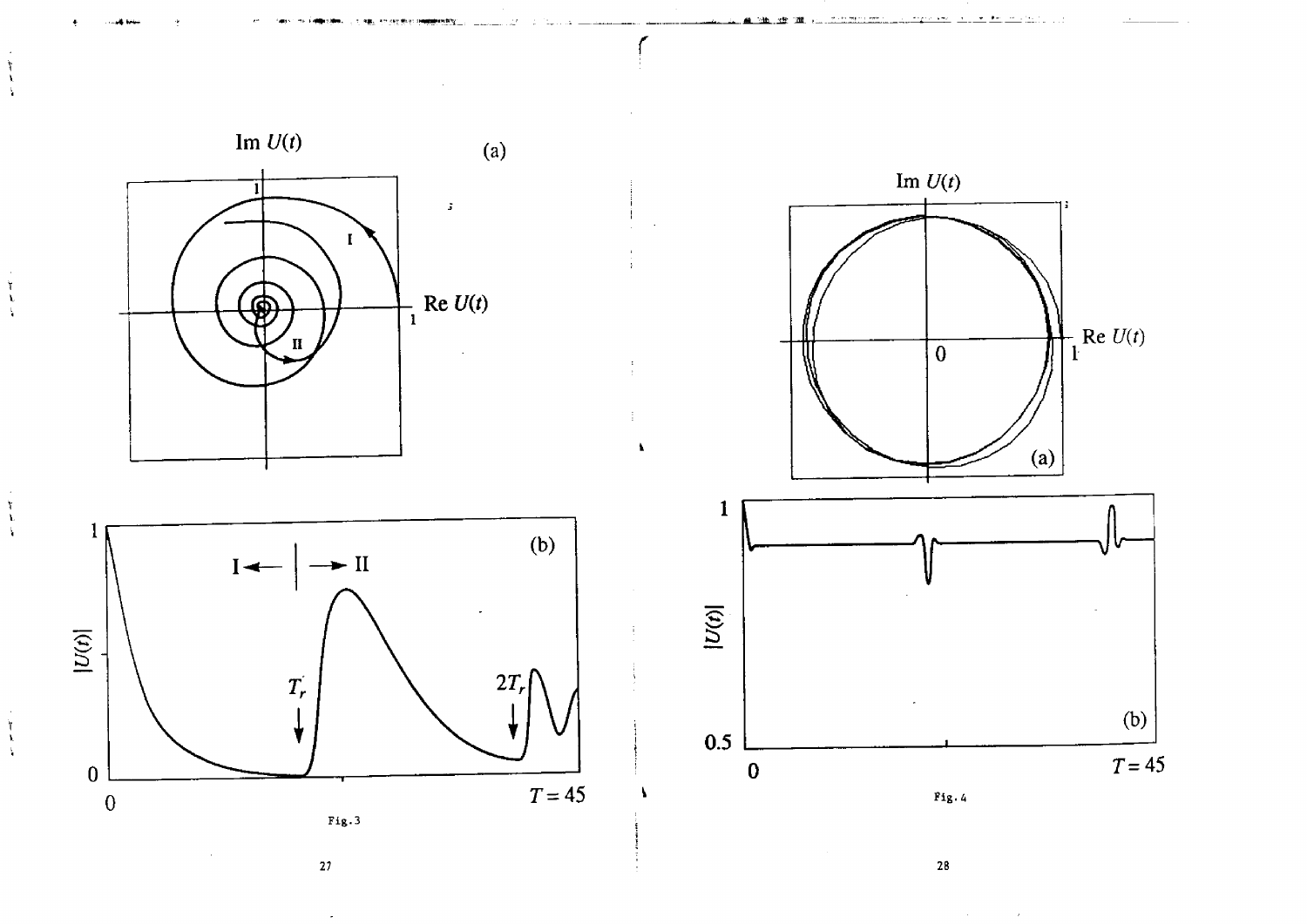

 $\frac{1}{4}$ 

 $\varphi$ 

 ${\bf 28}$ 

 $\sim$ 

 $\mathbf{R}$  Re  $U(t)$ 

 $(b)$ 

 $T = 45$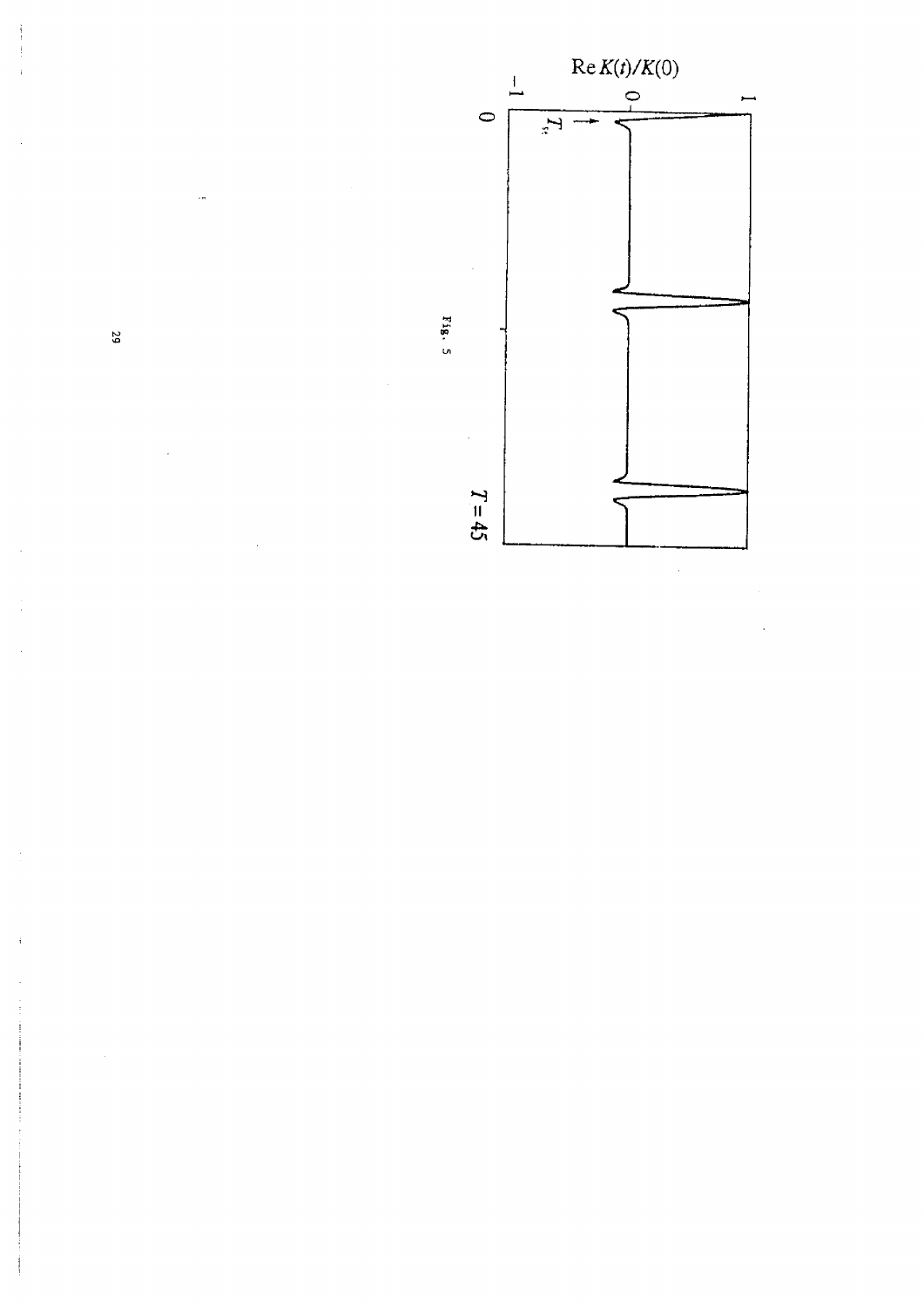